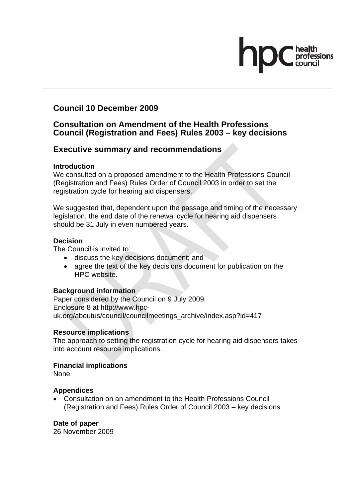# **Council 10 December 2009**

# **Consultation on Amendment of the Health Professions Council (Registration and Fees) Rules 2003 – key decisions**

# **Executive summary and recommendations**

#### **Introduction**

We consulted on a proposed amendment to the Health Professions Council (Registration and Fees) Rules Order of Council 2003 in order to set the registration cycle for hearing aid dispensers.

We suggested that, dependent upon the passage and timing of the necessary legislation, the end date of the renewal cycle for hearing aid dispensers should be 31 July in even numbered years.

#### **Decision**

The Council is invited to:

- discuss the key decisions document; and
- agree the text of the key decisions document for publication on the HPC website.

### **Background information**

Paper considered by the Council on 9 July 2009: Enclosure 8 at http://www.hpcuk.org/aboutus/council/councilmeetings\_archive/index.asp?id=417

### **Resource implications**

The approach to setting the registration cycle for hearing aid dispensers takes into account resource implications.

### **Financial implications**

None

### **Appendices**

• Consultation on an amendment to the Health Professions Council (Registration and Fees) Rules Order of Council 2003 – key decisions

### **Date of paper**

26 November 2009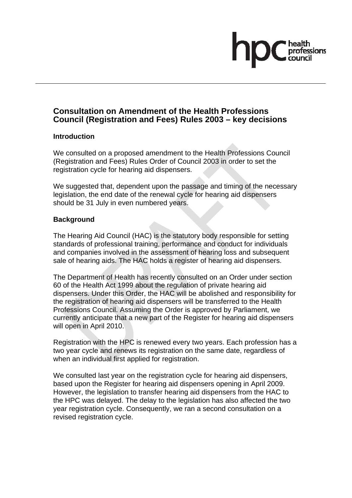# fessions

# **Consultation on Amendment of the Health Professions Council (Registration and Fees) Rules 2003 – key decisions**

#### **Introduction**

We consulted on a proposed amendment to the Health Professions Council (Registration and Fees) Rules Order of Council 2003 in order to set the registration cycle for hearing aid dispensers.

We suggested that, dependent upon the passage and timing of the necessary legislation, the end date of the renewal cycle for hearing aid dispensers should be 31 July in even numbered years.

### **Background**

The Hearing Aid Council (HAC) is the statutory body responsible for setting standards of professional training, performance and conduct for individuals and companies involved in the assessment of hearing loss and subsequent sale of hearing aids. The HAC holds a register of hearing aid dispensers.

The Department of Health has recently consulted on an Order under section 60 of the Health Act 1999 about the regulation of private hearing aid dispensers. Under this Order, the HAC will be abolished and responsibility for the registration of hearing aid dispensers will be transferred to the Health Professions Council. Assuming the Order is approved by Parliament, we currently anticipate that a new part of the Register for hearing aid dispensers will open in April 2010.

Registration with the HPC is renewed every two years. Each profession has a two year cycle and renews its registration on the same date, regardless of when an individual first applied for registration.

We consulted last year on the registration cycle for hearing aid dispensers, based upon the Register for hearing aid dispensers opening in April 2009. However, the legislation to transfer hearing aid dispensers from the HAC to the HPC was delayed. The delay to the legislation has also affected the two year registration cycle. Consequently, we ran a second consultation on a revised registration cycle.